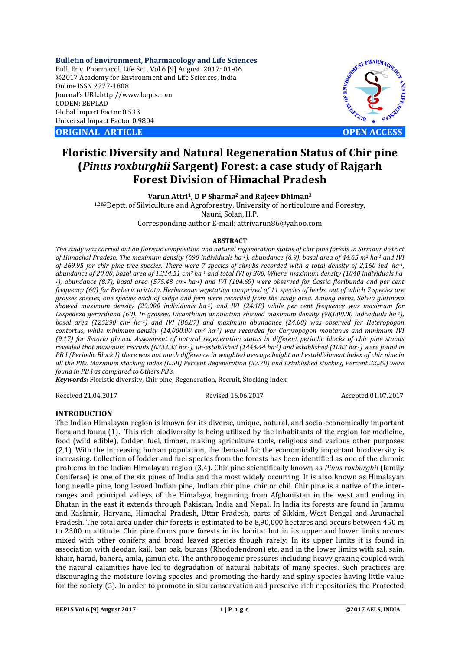**Bulletin of Environment, Pharmacology and Life Sciences** Bull. Env. Pharmacol. Life Sci., Vol 6 [9] August 2017: 01-06 ©2017 Academy for Environment and Life Sciences, India Online ISSN 2277-1808 Journal's URL:http://www.bepls.com CODEN: BEPLAD Global Impact Factor 0.533 Universal Impact Factor 0.9804

**ORIGINAL ARTICLE OPEN ACCESS**



# **Floristic Diversity and Natural Regeneration Status of Chir pine (***Pinus roxburghii* **Sargent) Forest: a case study of Rajgarh Forest Division of Himachal Pradesh**

**Varun Attri1, D P Sharma2 and Rajeev Dhiman3**

1,2&3Deptt. of Silviculture and Agroforestry, University of horticulture and Forestry, Nauni, Solan, H.P. Corresponding author E-mail: attrivarun86@yahoo.com

#### **ABSTRACT**

*The study was carried out on floristic composition and natural regeneration status of chir pine forests in Sirmaur district of Himachal Pradesh. The maximum density (690 individuals ha-1), abundance (6.9), basal area of 44.65 m2 ha-1 and IVI of 269.95 for chir pine tree species. There were 7 species of shrubs recorded with a total density of 2,160 ind. ha-1, abundance of 20.00, basal area of 1,314.51 cm2 ha-1 and total IVI of 300. Where, maximum density (1040 individuals ha-1), abundance (8.7), basal area (575.48 cm2 ha-1) and IVI (104.69) were observed for Cassia floribunda and per cent frequency (60) for Berberis aristata. Herbaceous vegetation comprised of 11 species of herbs, out of which 7 species are grasses species, one species each of sedge and fern were recorded from the study area. Among herbs, Salvia glutinosa showed maximum density (29,000 individuals ha-1) and IVI (24.18) while per cent frequency was maximum for Lespedeza gerardiana (60). In grasses, Dicanthium annulatum showed maximum density (98,000.00 individuals ha-1), basal area (125290 cm2 ha-1) and IVI (86.87) and maximum abundance (24.00) was observed for Heteropogon contortus, while minimum density (14,000.00 cm2 ha-1) was recorded for Chrysopogon montanus and minimum IVI (9.17) for Setaria glauca. Assessment of natural regeneration status in different periodic blocks of chir pine stands revealed that maximum recruits (6333.33 ha-1), un-established (1444.44 ha-1) and established (1083 ha-1) were found in PB I (Periodic Block I) there was not much difference in weighted average height and establishment index of chir pine in all the PBs. Maximum stocking index (0.58) Percent Regeneration (57.78) and Established stocking Percent 32.29) were found in PB I as compared to Others PB's.* 

*Keywords:* Floristic diversity, Chir pine, Regeneration, Recruit, Stocking Index

Received 21.04.2017 Revised 16.06.2017 Accepted 01.07.2017

## **INTRODUCTION**

The Indian Himalayan region is known for its diverse, unique, natural, and socio-economically important flora and fauna (1). This rich biodiversity is being utilized by the inhabitants of the region for medicine, food (wild edible), fodder, fuel, timber, making agriculture tools, religious and various other purposes (2,1). With the increasing human population, the demand for the economically important biodiversity is increasing. Collection of fodder and fuel species from the forests has been identified as one of the chronic problems in the Indian Himalayan region (3,4). Chir pine scientifically known as *Pinus roxburghii* (family Coniferae) is one of the six pines of India and the most widely occurring. It is also known as Himalayan long needle pine, long leaved Indian pine, Indian chir pine, chir or chil. Chir pine is a native of the interranges and principal valleys of the Himalaya, beginning from Afghanistan in the west and ending in Bhutan in the east it extends through Pakistan, India and Nepal. In India its forests are found in Jammu and Kashmir, Haryana, Himachal Pradesh, Uttar Pradesh, parts of Sikkim, West Bengal and Arunachal Pradesh. The total area under chir forests is estimated to be 8,90,000 hectares and occurs between 450 m to 2300 m altitude. Chir pine forms pure forests in its habitat but in its upper and lower limits occurs mixed with other conifers and broad leaved species though rarely: In its upper limits it is found in association with deodar, kail, ban oak, burans (Rhododendron) etc. and in the lower limits with sal, sain, khair, harad, bahera, amla, jamun etc. The anthropogenic pressures including heavy grazing coupled with the natural calamities have led to degradation of natural habitats of many species. Such practices are discouraging the moisture loving species and promoting the hardy and spiny species having little value for the society (5). In order to promote in situ conservation and preserve rich repositories, the Protected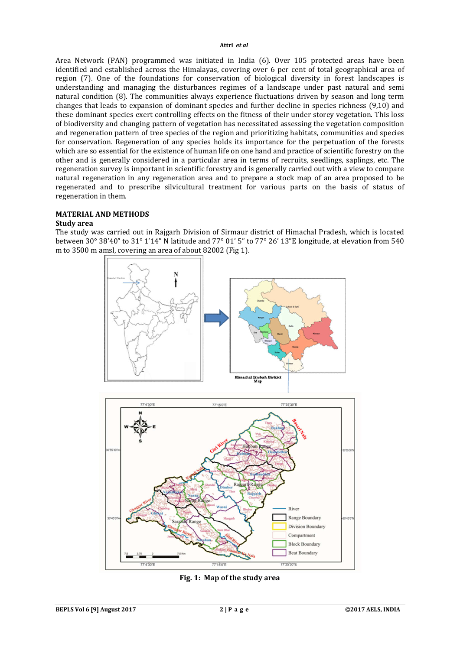Area Network (PAN) programmed was initiated in India (6). Over 105 protected areas have been identified and established across the Himalayas, covering over 6 per cent of total geographical area of region (7). One of the foundations for conservation of biological diversity in forest landscapes is understanding and managing the disturbances regimes of a landscape under past natural and semi natural condition (8). The communities always experience fluctuations driven by season and long term changes that leads to expansion of dominant species and further decline in species richness (9,10) and these dominant species exert controlling effects on the fitness of their under storey vegetation. This loss of biodiversity and changing pattern of vegetation has necessitated assessing the vegetation composition and regeneration pattern of tree species of the region and prioritizing habitats, communities and species for conservation. Regeneration of any species holds its importance for the perpetuation of the forests which are so essential for the existence of human life on one hand and practice of scientific forestry on the other and is generally considered in a particular area in terms of recruits, seedlings, saplings, etc. The regeneration survey is important in scientific forestry and is generally carried out with a view to compare natural regeneration in any regeneration area and to prepare a stock map of an area proposed to be regenerated and to prescribe silvicultural treatment for various parts on the basis of status of regeneration in them.

## **MATERIAL AND METHODS**

## **Study area**

The study was carried out in Rajgarh Division of Sirmaur district of Himachal Pradesh, which is located between 30° 38'40" to 31° 1'14" N latitude and 77° 01' 5" to 77° 26' 13"E longitude, at elevation from 540 m to 3500 m amsl, covering an area of about 82002 (Fig 1).



**Fig. 1: Map of the study area**

 $77.1507$ 

77'25'30"E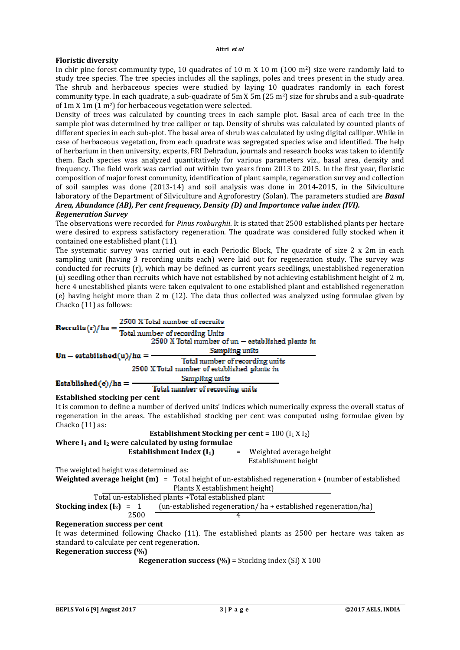# **Floristic diversity**

In chir pine forest community type, 10 quadrates of 10 m X 10 m (100 m<sup>2</sup>) size were randomly laid to study tree species. The tree species includes all the saplings, poles and trees present in the study area. The shrub and herbaceous species were studied by laying 10 quadrates randomly in each forest community type. In each quadrate, a sub-quadrate of 5m X 5m (25 m2) size for shrubs and a sub-quadrate of 1m X 1m (1 m2) for herbaceous vegetation were selected.

Density of trees was calculated by counting trees in each sample plot. Basal area of each tree in the sample plot was determined by tree calliper or tap. Density of shrubs was calculated by counted plants of different species in each sub-plot. The basal area of shrub was calculated by using digital calliper. While in case of herbaceous vegetation, from each quadrate was segregated species wise and identified. The help of herbarium in then university, experts, FRI Dehradun, journals and research books was taken to identify them. Each species was analyzed quantitatively for various parameters viz., basal area, density and frequency. The field work was carried out within two years from 2013 to 2015. In the first year, floristic composition of major forest community, identification of plant sample, regeneration survey and collection of soil samples was done (2013-14) and soil analysis was done in 2014-2015, in the Silviculture laboratory of the Department of Silviculture and Agroforestry (Solan). The parameters studied are *Basal Area, Abundance (AB), Per cent frequency, Density (D) and Importance value index (IVI).*

## *Regeneration Survey*

The observations were recorded for *Pinus roxburghii*. It is stated that 2500 established plants per hectare were desired to express satisfactory regeneration. The quadrate was considered fully stocked when it contained one established plant (11).

The systematic survey was carried out in each Periodic Block, The quadrate of size 2 x 2m in each sampling unit (having 3 recording units each) were laid out for regeneration study. The survey was conducted for recruits (r), which may be defined as current years seedlings, unestablished regeneration (u) seedling other than recruits which have not established by not achieving establishment height of 2 m, here 4 unestablished plants were taken equivalent to one established plant and established regeneration (e) having height more than 2 m (12). The data thus collected was analyzed using formulae given by Chacko (11) as follows:

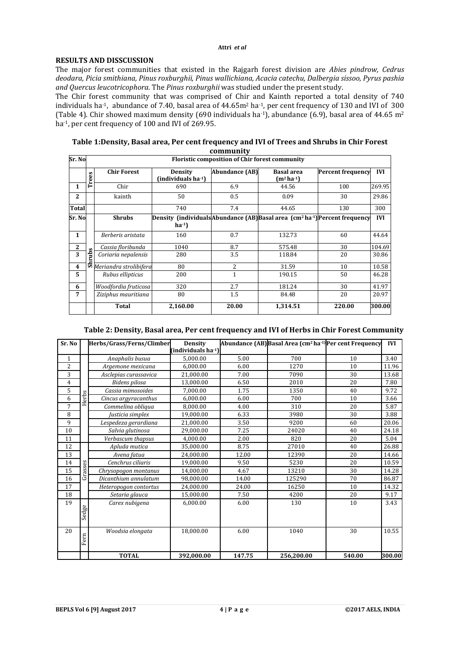## **RESULTS AND DISSCUSSION**

The major forest communities that existed in the Rajgarh forest division are *Abies pindrow, Cedrus deodara, Picia smithiana, Pinus roxburghii, Pinus wallichiana, Acacia catechu, Dalbergia sissoo, Pyrus pashia and Quercus leucotricophora*. The *Pinus roxburghii* was studied under the present study.

The Chir forest community that was comprised of Chir and Kainth reported a total density of 740 individuals ha-1, abundance of 7.40, basal area of 44.65m2 ha-1, per cent frequency of 130 and IVI of 300 (Table 4). Chir showed maximum density (690 individuals ha<sup>-1</sup>), abundance (6.9), basal area of 44.65 m<sup>2</sup> ha<sup>-1</sup>, per cent frequency of 100 and IVI of 269.95.

| Table 1: Density, Basal area, Per cent frequency and IVI of Trees and Shrubs in Chir Forest |
|---------------------------------------------------------------------------------------------|
| community                                                                                   |

| Sr. No                  |            | <b>Floristic composition of Chir forest community</b> |                                            |                       |                                                                                      |                          |            |
|-------------------------|------------|-------------------------------------------------------|--------------------------------------------|-----------------------|--------------------------------------------------------------------------------------|--------------------------|------------|
|                         | S<br>Ë     | <b>Chir Forest</b>                                    | Density<br>(individuals ha <sup>-1</sup> ) | <b>Abundance (AB)</b> | <b>Basal</b> area<br>$(m^2 ha^{-1})$                                                 | <b>Percent frequency</b> | <b>IVI</b> |
| $\mathbf{1}$            | н          | Chir                                                  | 690                                        | 6.9                   | 44.56                                                                                | 100                      | 269.95     |
| $\mathbf{2}$            |            | kainth                                                | 50                                         | 0.5                   | 0.09                                                                                 | 30                       | 29.86      |
| <b>Total</b>            |            |                                                       | 740                                        | 7.4                   | 44.65                                                                                | 130                      | 300        |
| Sr. No                  | S.<br>hrub | <b>Shrubs</b>                                         | $ha^{-1}$                                  |                       | <b>Density (individuals Abundance (AB)</b> Basal area $(cm2 ha-1)$ Percent frequency |                          | <b>IVI</b> |
| $\mathbf{1}$            |            | Berberis aristata                                     | 160                                        | 0.7                   | 132.73                                                                               | 60                       | 44.64      |
| $\mathbf{2}$            |            | Cassia floribunda                                     | 1040                                       | 8.7                   | 575.48                                                                               | 30                       | 104.69     |
| 3                       |            | Coriaria nepalensis                                   | 280                                        | 3.5                   | 118.84                                                                               | 20                       | 30.86      |
| $\overline{\mathbf{4}}$ |            | $\overline{\bullet}$ Meriandra strolibifera           | 80                                         | 2                     | 31.59                                                                                | 10                       | 10.58      |
| 5                       |            | Rubus ellipticus                                      | 200                                        | $\mathbf{1}$          | 190.15                                                                               | 50                       | 46.28      |
| 6                       |            | Woodfordia fruticosa                                  | 320                                        | 2.7                   | 181.24                                                                               | 30                       | 41.97      |
| 7                       |            | Ziziphus mauritiana                                   | 80                                         | 1.5                   | 84.48                                                                                | 20                       | 20.97      |
|                         |            | <b>Total</b>                                          | 2.160.00                                   | 20.00                 | 1,314.51                                                                             | 220.00                   | 300.00     |

# **Table 2: Density, Basal area, Per cent frequency and IVI of Herbs in Chir Forest Community**

| $Sr$ . No    |         | Herbs/Grass/Ferns/Climber | <b>Density</b>                  |        | Abundance (AB) Basal Area (cm <sup>2</sup> ha <sup>-1)</sup> Per cent Frequency |        | IVI    |
|--------------|---------|---------------------------|---------------------------------|--------|---------------------------------------------------------------------------------|--------|--------|
|              |         |                           | (individuals ha <sup>-1</sup> ) |        |                                                                                 |        |        |
| $\mathbf{1}$ |         | Anaphalis busua           | 5,000.00                        | 5.00   | 700                                                                             | 10     | 3.40   |
| 2            |         | Argemone mexicana         | 6,000.00                        | 6.00   | 1270                                                                            | 10     | 11.96  |
| 3            |         | Asclepias curassavica     | 21,000.00                       | 7.00   | 7090                                                                            | 30     | 13.68  |
| 4            |         | Bidens pilosa             | 13,000.00                       | 6.50   | 2010                                                                            | 20     | 7.80   |
| 5            |         | Cassia mimosoides         | 7.000.00                        | 1.75   | 1350                                                                            | 40     | 9.72   |
| 6            | Herbs   | Cincus argyracanthus      | 6.000.00                        | 6.00   | 700                                                                             | 10     | 3.66   |
| 7            |         | Commelina obliqua         | 8,000.00                        | 4.00   | 310                                                                             | 20     | 5.87   |
| 8            |         | Justicia simplex          | 19,000.00                       | 6.33   | 3980                                                                            | 30     | 3.88   |
| 9            |         | Lespedeza gerardiana      | 21,000.00                       | 3.50   | 9200                                                                            | 60     | 20.06  |
| 10           |         | Salvia glutinosa          | 29.000.00                       | 7.25   | 24020                                                                           | 40     | 24.18  |
| 11           |         | Verbascum thapsus         | 4.000.00                        | 2.00   | 820                                                                             | 20     | 5.04   |
| 12           |         | Apluda mutica             | 35.000.00                       | 8.75   | 27010                                                                           | 40     | 26.88  |
| 13           |         | Avena fatua               | 24.000.00                       | 12.00  | 12390                                                                           | 20     | 14.66  |
| 14           |         | Cenchrus ciliaris         | 19,000.00                       | 9.50   | 5230                                                                            | 20     | 10.59  |
| 15           | Grasses | Chrysopogon montanus      | 14,000.00                       | 4.67   | 13210                                                                           | 30     | 14.28  |
| 16           |         | Dicanthium annulatum      | 98,000.00                       | 14.00  | 125290                                                                          | 70     | 86.87  |
| 17           |         | Heteropogon contortus     | 24,000.00                       | 24.00  | 16250                                                                           | 10     | 14.32  |
| 18           |         | Setaria glauca            | 15,000.00                       | 7.50   | 4200                                                                            | 20     | 9.17   |
| 19           |         | Carex nubigena            | 6,000.00                        | 6.00   | 130                                                                             | 10     | 3.43   |
|              | Sedge   |                           |                                 |        |                                                                                 |        |        |
|              |         |                           |                                 |        |                                                                                 |        |        |
| 20           |         | Woodsia elongata          | 18,000.00                       | 6.00   | 1040                                                                            | 30     | 10.55  |
|              | Fern    |                           |                                 |        |                                                                                 |        |        |
|              |         |                           |                                 |        |                                                                                 |        |        |
|              |         | <b>TOTAL</b>              | 392,000.00                      | 147.75 | 256,200.00                                                                      | 540.00 | 300.00 |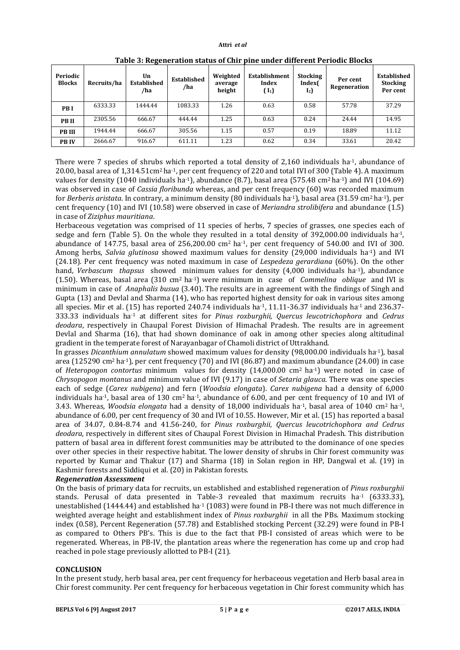| Periodic<br><b>Blocks</b> | Recruits/ha | Un<br><b>Established</b><br>/ha | <b>Established</b><br>/ha | Weighted<br>average<br>height | Establishment<br>Index<br>$(I_1)$ | <b>Stocking</b><br>Index(<br>$I_2$ | Per cent<br>Regeneration | Established<br><b>Stocking</b><br>Per cent |
|---------------------------|-------------|---------------------------------|---------------------------|-------------------------------|-----------------------------------|------------------------------------|--------------------------|--------------------------------------------|
| <b>PBI</b>                | 6333.33     | 1444.44                         | 1083.33                   | 1.26                          | 0.63                              | 0.58                               | 57.78                    | 37.29                                      |
| <b>PBII</b>               | 2305.56     | 666.67                          | 444.44                    | 1.25                          | 0.63                              | 0.24                               | 24.44                    | 14.95                                      |
| <b>PB III</b>             | 1944.44     | 666.67                          | 305.56                    | 1.15                          | 0.57                              | 0.19                               | 18.89                    | 11.12                                      |
| <b>PBIV</b>               | 2666.67     | 916.67                          | 611.11                    | 1.23                          | 0.62                              | 0.34                               | 33.61                    | 20.42                                      |

**Table 3: Regeneration status of Chir pine under different Periodic Blocks**

There were 7 species of shrubs which reported a total density of 2,160 individuals ha<sup>-1</sup>, abundance of 20.00, basal area of 1,314.51cm2 ha-1, per cent frequency of 220 and total IVI of 300 (Table 4). A maximum values for density (1040 individuals ha<sup>-1</sup>), abundance (8.7), basal area (575.48 cm<sup>2</sup> ha<sup>-1</sup>) and IVI (104.69) was observed in case of *Cassia floribunda* whereas, and per cent frequency (60) was recorded maximum for *Berberis aristata*. In contrary, a minimum density (80 individuals ha-1), basal area (31.59 cm2 ha-1), per cent frequency (10) and IVI (10.58) were observed in case of *Meriandra strolibifera* and abundance (1.5) in case of *Ziziphus mauritiana*.

Herbaceous vegetation was comprised of 11 species of herbs, 7 species of grasses, one species each of sedge and fern (Table 5). On the whole they resulted in a total density of 392,000.00 individuals ha-1, abundance of 147.75, basal area of 256,200.00 cm<sup>2</sup> ha<sup>-1</sup>, per cent frequency of 540.00 and IVI of 300. Among herbs, *Salvia glutinosa* showed maximum values for density (29,000 individuals ha-1) and IVI (24.18). Per cent frequency was noted maximum in case of *Lespedeza gerardiana* (60%). On the other hand, *Verbascum thapsus* showed minimum values for density (4,000 individuals ha-1), abundance (1.50). Whereas, basal area (310 cm2 ha-1) were minimum in case of *Commelina oblique* and IVI is minimum in case of *Anaphalis busua* (3.40). The results are in agreement with the findings of Singh and Gupta (13) and Devlal and Sharma (14), who has reported highest density for oak in various sites among all species. Mir et al. (15) has reported 240.74 individuals ha<sup>-1</sup>, 11.11-36.37 individuals ha<sup>-1</sup> and 236.37-333.33 individuals ha-1 at different sites for *Pinus roxburghii, Quercus leucotrichophora* and *Cedrus deodara*, respectively in Chaupal Forest Division of Himachal Pradesh. The results are in agreement Devlal and Sharma (16), that had shown dominance of oak in among other species along altitudinal gradient in the temperate forest of Narayanbagar of Chamoli district of Uttrakhand.

In grasses *Dicanthium annulatum* showed maximum values for density (98,000.00 individuals ha-1), basal area (125290 cm<sup>2</sup> ha<sup>-1</sup>), per cent frequency (70) and IVI (86.87) and maximum abundance (24.00) in case of *Heteropogon contortus* minimum values for density (14,000.00 cm2 ha-1) were noted in case of *Chrysopogon montanus* and minimum value of IVI (9.17) in case of *Setaria glauca*. There was one species each of sedge (*Carex nubigena*) and fern (*Woodsia elongata*). *Carex nubigena* had a density of 6,000 individuals ha<sup>-1</sup>, basal area of 130 cm<sup>2</sup> ha<sup>-1</sup>, abundance of 6.00, and per cent frequency of 10 and IVI of 3.43. Whereas, *Woodsia elongata* had a density of 18,000 individuals ha-1, basal area of 1040 cm2 ha-1, abundance of 6.00, per cent frequency of 30 and IVI of 10.55. However, Mir et al. (15) has reported a basal area of 34.07, 0.84-8.74 and 41.56-240, for *Pinus roxburghii, Quercus leucotrichophora and Cedrus deodara,* respectively in different sites of Chaupal Forest Division in Himachal Pradesh. This distribution pattern of basal area in different forest communities may be attributed to the dominance of one species over other species in their respective habitat. The lower density of shrubs in Chir forest community was reported by Kumar and Thakur (17) and Sharma (18) in Solan region in HP, Dangwal et al. (19) in Kashmir forests and Siddiqui et al. (20) in Pakistan forests.

# *Regeneration Assessment*

On the basis of primary data for recruits, un established and established regeneration of *Pinus roxburghii*  stands. Perusal of data presented in Table-3 revealed that maximum recruits ha<sup>-1</sup> (6333.33), unestablished (1444.44) and established ha<sup>-1</sup> (1083) were found in PB-I there was not much difference in weighted average height and establishment index of *Pinus roxburghii* in all the PBs. Maximum stocking index (0.58), Percent Regeneration (57.78) and Established stocking Percent (32.29) were found in PB-I as compared to Others PB's. This is due to the fact that PB-I consisted of areas which were to be regenerated. Whereas, in PB-IV, the plantation areas where the regeneration has come up and crop had reached in pole stage previously allotted to PB-I (21).

# **CONCLUSION**

In the present study, herb basal area, per cent frequency for herbaceous vegetation and Herb basal area in Chir forest community. Per cent frequency for herbaceous vegetation in Chir forest community which has